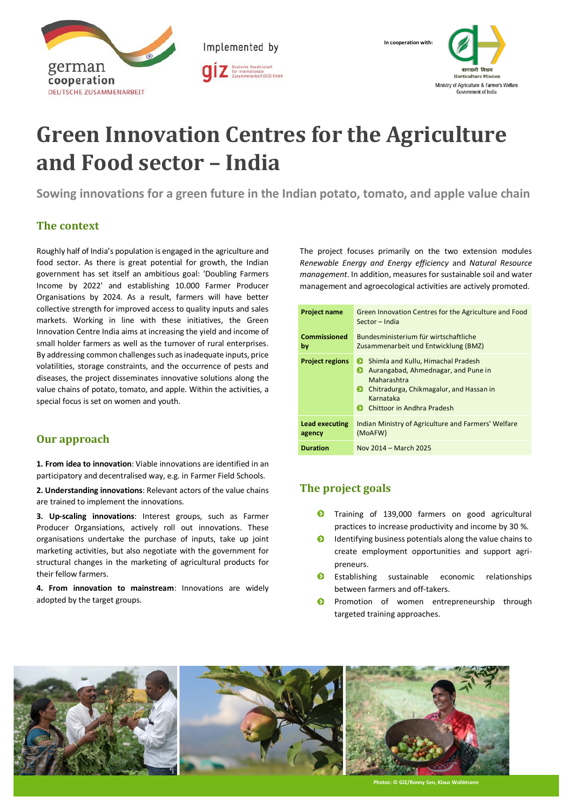

Implemented by



# **Green Innovation Centres for the Agriculture and Food sector – India**

**Sowing innovations for a green future in the Indian potato, tomato, and apple value chain**

### **The context**

Roughly half of India's population is engaged in the agriculture and food sector. As there is great potential for growth, the Indian government has set itself an ambitious goal: 'Doubling Farmers Income by 2022' and establishing 10.000 Farmer Producer Organisations by 2024. As a result, farmers will have better collective strength for improved access to quality inputs and sales markets. Working in line with these initiatives, the Green Innovation Centre India aims at increasing the yield and income of small holder farmers as well as the turnover of rural enterprises. By addressing common challenges such as inadequate inputs, price volatilities, storage constraints, and the occurrence of pests and diseases, the project disseminates innovative solutions along the value chains of potato, tomato, and apple. Within the activities, a special focus is set on women and youth.

### **Our approach**

**1. From idea to innovation**: Viable innovations are identified in an participatory and decentralised way, e.g. in Farmer Field Schools.

**2. Understanding innovations**: Relevant actors of the value chains are trained to implement the innovations.

**3. Up-scaling innovations**: Interest groups, such as Farmer Producer Organsiations, actively roll out innovations. These organisations undertake the purchase of inputs, take up joint marketing activities, but also negotiate with the government for structural changes in the marketing of agricultural products for their fellow farmers.

**4. From innovation to mainstream**: Innovations are widely adopted by the target groups.

The project focuses primarily on the two extension modules *Renewable Energy and Energy efficiency* and *Natural Resource management*. In addition, measures for sustainable soil and water management and agroecological activities are actively promoted.

| <b>Project name</b>             | Green Innovation Centres for the Agriculture and Food<br>Sector - India                                                                                                                            |  |  |  |
|---------------------------------|----------------------------------------------------------------------------------------------------------------------------------------------------------------------------------------------------|--|--|--|
| Commissioned<br>by              | Bundesministerium für wirtschaftliche<br>Zusammenarbeit und Entwicklung (BMZ)                                                                                                                      |  |  |  |
| <b>Project regions</b>          | Shimla and Kullu, Himachal Pradesh<br>Ð<br>Đ<br>Aurangabad, Ahmednagar, and Pune in<br>Maharashtra<br>Đ<br>Chitradurga, Chikmagalur, and Hassan in<br>Karnataka<br>Chittoor in Andhra Pradesh<br>Ð |  |  |  |
| <b>Lead executing</b><br>agency | Indian Ministry of Agriculture and Farmers' Welfare<br>(MoAFW)                                                                                                                                     |  |  |  |
| <b>Duration</b>                 | Nov 2014 - March 2025                                                                                                                                                                              |  |  |  |

## **The project goals**

- **O** Training of 139,000 farmers on good agricultural practices to increase productivity and income by 30 %.
- $\bullet$ Identifying business potentials along the value chains to create employment opportunities and support agripreneurs.
- $\bullet$ Establishing sustainable economic relationships between farmers and off-takers.
- $\bullet$ Promotion of women entrepreneurship through targeted training approaches.



**Photos: © GIZ/R**